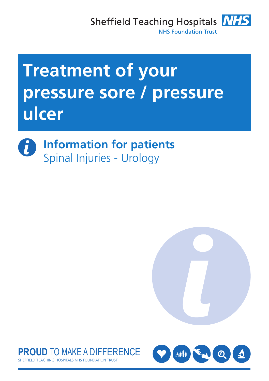Sheffield Teaching Hospitals **NHS NHS Foundation Trust** 

# **Treatment of your pressure sore / pressure ulcer**







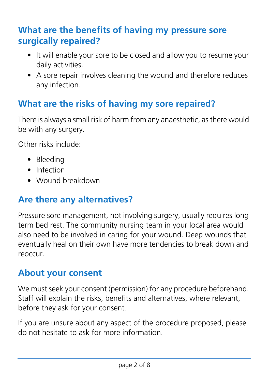#### **What are the benefits of having my pressure sore surgically repaired?**

- It will enable your sore to be closed and allow you to resume your daily activities.
- A sore repair involves cleaning the wound and therefore reduces any infection.

## **What are the risks of having my sore repaired?**

There is always a small risk of harm from any anaesthetic, as there would be with any surgery.

Other risks include:

- Bleeding
- Infection
- Wound breakdown

#### **Are there any alternatives?**

Pressure sore management, not involving surgery, usually requires long term bed rest. The community nursing team in your local area would also need to be involved in caring for your wound. Deep wounds that eventually heal on their own have more tendencies to break down and reoccur.

#### **About your consent**

We must seek your consent (permission) for any procedure beforehand. Staff will explain the risks, benefits and alternatives, where relevant, before they ask for your consent.

If you are unsure about any aspect of the procedure proposed, please do not hesitate to ask for more information.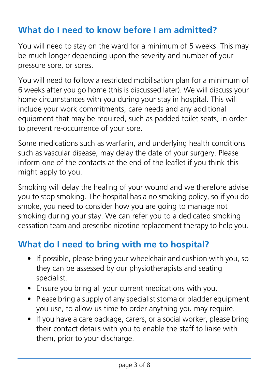## **What do I need to know before I am admitted?**

You will need to stay on the ward for a minimum of 5 weeks. This may be much longer depending upon the severity and number of your pressure sore, or sores.

You will need to follow a restricted mobilisation plan for a minimum of 6 weeks after you go home (this is discussed later). We will discuss your home circumstances with you during your stay in hospital. This will include your work commitments, care needs and any additional equipment that may be required, such as padded toilet seats, in order to prevent re-occurrence of your sore.

Some medications such as warfarin, and underlying health conditions such as vascular disease, may delay the date of your surgery. Please inform one of the contacts at the end of the leaflet if you think this might apply to you.

Smoking will delay the healing of your wound and we therefore advise you to stop smoking. The hospital has a no smoking policy, so if you do smoke, you need to consider how you are going to manage not smoking during your stay. We can refer you to a dedicated smoking cessation team and prescribe nicotine replacement therapy to help you.

# **What do I need to bring with me to hospital?**

- If possible, please bring your wheelchair and cushion with you, so they can be assessed by our physiotherapists and seating specialist.
- Ensure you bring all your current medications with you.
- Please bring a supply of any specialist stoma or bladder equipment you use, to allow us time to order anything you may require.
- If you have a care package, carers, or a social worker, please bring their contact details with you to enable the staff to liaise with them, prior to your discharge.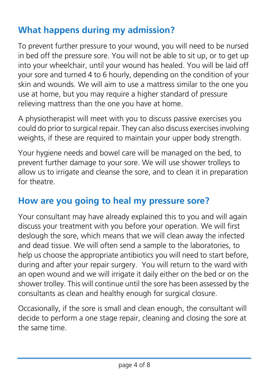# **What happens during my admission?**

To prevent further pressure to your wound, you will need to be nursed in bed off the pressure sore. You will not be able to sit up, or to get up into your wheelchair, until your wound has healed. You will be laid off your sore and turned 4 to 6 hourly, depending on the condition of your skin and wounds. We will aim to use a mattress similar to the one you use at home, but you may require a higher standard of pressure relieving mattress than the one you have at home.

A physiotherapist will meet with you to discuss passive exercises you could do prior to surgical repair. They can also discuss exercises involving weights, if these are required to maintain your upper body strength.

Your hygiene needs and bowel care will be managed on the bed, to prevent further damage to your sore. We will use shower trolleys to allow us to irrigate and cleanse the sore, and to clean it in preparation for theatre.

#### **How are you going to heal my pressure sore?**

Your consultant may have already explained this to you and will again discuss your treatment with you before your operation. We will first deslough the sore, which means that we will clean away the infected and dead tissue. We will often send a sample to the laboratories, to help us choose the appropriate antibiotics you will need to start before, during and after your repair surgery. You will return to the ward with an open wound and we will irrigate it daily either on the bed or on the shower trolley. This will continue until the sore has been assessed by the consultants as clean and healthy enough for surgical closure.

Occasionally, if the sore is small and clean enough, the consultant will decide to perform a one stage repair, cleaning and closing the sore at the same time.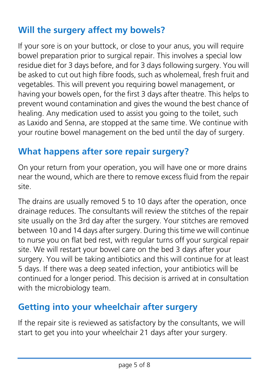## **Will the surgery affect my bowels?**

If your sore is on your buttock, or close to your anus, you will require bowel preparation prior to surgical repair. This involves a special low residue diet for 3 days before, and for 3 days following surgery. You will be asked to cut out high fibre foods, such as wholemeal, fresh fruit and vegetables. This will prevent you requiring bowel management, or having your bowels open, for the first 3 days after theatre. This helps to prevent wound contamination and gives the wound the best chance of healing. Any medication used to assist you going to the toilet, such as Laxido and Senna, are stopped at the same time. We continue with your routine bowel management on the bed until the day of surgery.

#### **What happens after sore repair surgery?**

On your return from your operation, you will have one or more drains near the wound, which are there to remove excess fluid from the repair site.

The drains are usually removed 5 to 10 days after the operation, once drainage reduces. The consultants will review the stitches of the repair site usually on the 3rd day after the surgery. Your stitches are removed between 10 and 14 days after surgery. During this time we will continue to nurse you on flat bed rest, with regular turns off your surgical repair site. We will restart your bowel care on the bed 3 days after your surgery. You will be taking antibiotics and this will continue for at least 5 days. If there was a deep seated infection, your antibiotics will be continued for a longer period. This decision is arrived at in consultation with the microbiology team.

#### **Getting into your wheelchair after surgery**

If the repair site is reviewed as satisfactory by the consultants, we will start to get you into your wheelchair 21 days after your surgery.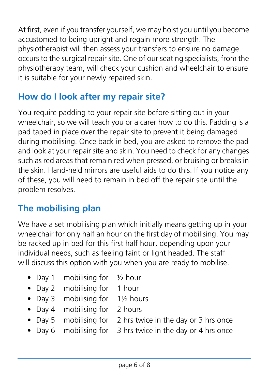At first, even if you transfer yourself, we may hoist you until you become accustomed to being upright and regain more strength. The physiotherapist will then assess your transfers to ensure no damage occurs to the surgical repair site. One of our seating specialists, from the physiotherapy team, will check your cushion and wheelchair to ensure it is suitable for your newly repaired skin.

## **How do I look after my repair site?**

You require padding to your repair site before sitting out in your wheelchair, so we will teach you or a carer how to do this. Padding is a pad taped in place over the repair site to prevent it being damaged during mobilising. Once back in bed, you are asked to remove the pad and look at your repair site and skin. You need to check for any changes such as red areas that remain red when pressed, or bruising or breaks in the skin. Hand-held mirrors are useful aids to do this. If you notice any of these, you will need to remain in bed off the repair site until the problem resolves.

#### **The mobilising plan**

We have a set mobilising plan which initially means getting up in your wheelchair for only half an hour on the first day of mobilising. You may be racked up in bed for this first half hour, depending upon your individual needs, such as feeling faint or light headed. The staff will discuss this option with you when you are ready to mobilise.

- Day 1 mobilising for  $\frac{1}{2}$  hour
- Day 2 mobilising for 1 hour
- Day 3 mobilising for 11/2 hours
- Day 4 mobilising for 2 hours
- Day 5 mobilising for 2 hrs twice in the day or 3 hrs once
- Day 6 mobilising for 3 hrs twice in the day or 4 hrs once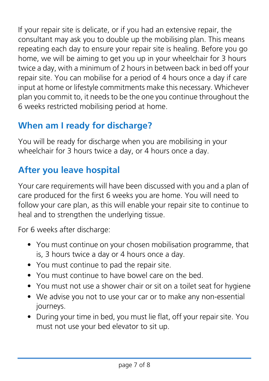If your repair site is delicate, or if you had an extensive repair, the consultant may ask you to double up the mobilising plan. This means repeating each day to ensure your repair site is healing. Before you go home, we will be aiming to get you up in your wheelchair for 3 hours twice a day, with a minimum of 2 hours in between back in bed off your repair site. You can mobilise for a period of 4 hours once a day if care input at home or lifestyle commitments make this necessary. Whichever plan you commit to, it needs to be the one you continue throughout the 6 weeks restricted mobilising period at home.

# **When am I ready for discharge?**

You will be ready for discharge when you are mobilising in your wheelchair for 3 hours twice a day, or 4 hours once a day.

# **After you leave hospital**

Your care requirements will have been discussed with you and a plan of care produced for the first 6 weeks you are home. You will need to follow your care plan, as this will enable your repair site to continue to heal and to strengthen the underlying tissue.

For 6 weeks after discharge:

- You must continue on your chosen mobilisation programme, that is, 3 hours twice a day or 4 hours once a day.
- You must continue to pad the repair site.
- You must continue to have bowel care on the bed.
- You must not use a shower chair or sit on a toilet seat for hygiene
- We advise you not to use your car or to make any non-essential journeys.
- During your time in bed, you must lie flat, off your repair site. You must not use your bed elevator to sit up.